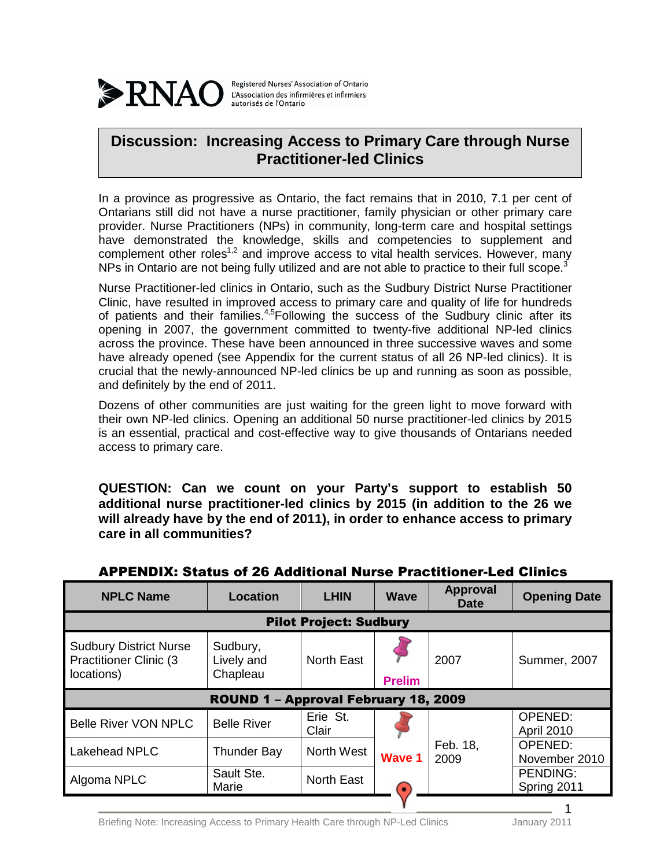

Registered Nurses' Association of Ontario L'Association des infirmières et infirmiers autorisés de l'Ontario

## **Discussion: Increasing Access to Primary Care through Nurse Practitioner-led Clinics**

In a province as progressive as Ontario, the fact remains that in 2010, 7.1 per cent of Ontarians still did not have a nurse practitioner, family physician or other primary care provider. Nurse Practitioners (NPs) in community, long-term care and hospital settings have demonstrated the knowledge, skills and competencies to supplement and complement other roles<sup>1,2</sup> and improve access to vital health services. However, many NPs in Ontario are not being fully utilized and are not able to practice to their full scope.<sup>3</sup>

Nurse Practitioner-led clinics in Ontario, such as the Sudbury District Nurse Practitioner Clinic, have resulted in improved access to primary care and quality of life for hundreds of patients and their families.<sup>4,5</sup>Following the success of the Sudbury clinic after its opening in 2007, the government committed to twenty-five additional NP-led clinics across the province. These have been announced in three successive waves and some have already opened (see Appendix for the current status of all 26 NP-led clinics). It is crucial that the newly-announced NP-led clinics be up and running as soon as possible, and definitely by the end of 2011.

Dozens of other communities are just waiting for the green light to move forward with their own NP-led clinics. Opening an additional 50 nurse practitioner-led clinics by 2015 is an essential, practical and cost-effective way to give thousands of Ontarians needed access to primary care.

**QUESTION: Can we count on your Party's support to establish 50 additional nurse practitioner-led clinics by 2015 (in addition to the 26 we will already have by the end of 2011), in order to enhance access to primary care in all communities?** 

| <b>NPLC Name</b>                                                              | <b>Location</b>                    | <b>LHIN</b>       | <b>Wave</b>                | <b>Approval</b><br><b>Date</b> | <b>Opening Date</b>            |  |  |  |
|-------------------------------------------------------------------------------|------------------------------------|-------------------|----------------------------|--------------------------------|--------------------------------|--|--|--|
| <b>Pilot Project: Sudbury</b>                                                 |                                    |                   |                            |                                |                                |  |  |  |
| <b>Sudbury District Nurse</b><br><b>Practitioner Clinic (3)</b><br>locations) | Sudbury,<br>Lively and<br>Chapleau | <b>North East</b> | <b>Prelim</b>              | 2007                           | <b>Summer, 2007</b>            |  |  |  |
| ROUND 1 - Approval February 18, 2009                                          |                                    |                   |                            |                                |                                |  |  |  |
| <b>Belle River VON NPLC</b>                                                   | <b>Belle River</b>                 | Erie St.<br>Clair | <b>Wave 1</b><br>$\bullet$ | Feb. 18,<br>2009               | OPENED:<br><b>April 2010</b>   |  |  |  |
| Lakehead NPLC                                                                 | <b>Thunder Bay</b>                 | North West        |                            |                                | OPENED:<br>November 2010       |  |  |  |
| Algoma NPLC                                                                   | Sault Ste.<br>Marie                | <b>North East</b> |                            |                                | <b>PENDING:</b><br>Spring 2011 |  |  |  |
|                                                                               |                                    |                   |                            |                                |                                |  |  |  |

## APPENDIX: Status of 26 Additional Nurse Practitioner-Led Clinics

Briefing Note: Increasing Access to Primary Health Care through NP-Led Clinics January 2011

1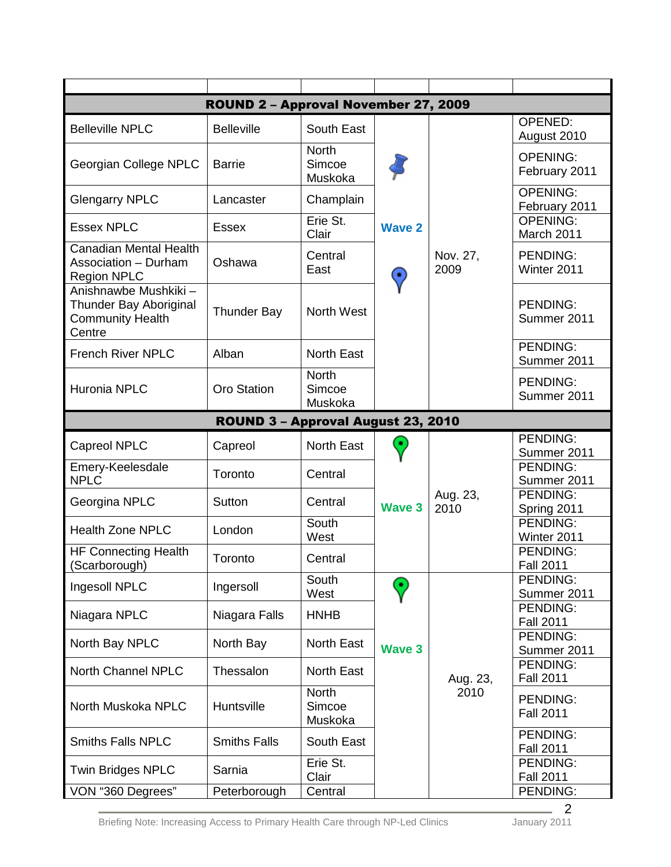|                                                                                     | ROUND 2 - Approval November 27, 2009 |                                   |                    |                  |                                     |  |  |  |
|-------------------------------------------------------------------------------------|--------------------------------------|-----------------------------------|--------------------|------------------|-------------------------------------|--|--|--|
| <b>Belleville NPLC</b>                                                              | <b>Belleville</b>                    | South East                        |                    |                  | OPENED:<br>August 2010              |  |  |  |
| Georgian College NPLC                                                               | <b>Barrie</b>                        | <b>North</b><br>Simcoe<br>Muskoka |                    |                  | <b>OPENING:</b><br>February 2011    |  |  |  |
| <b>Glengarry NPLC</b>                                                               | Lancaster                            | Champlain                         |                    |                  | <b>OPENING:</b><br>February 2011    |  |  |  |
| <b>Essex NPLC</b>                                                                   | <b>Essex</b>                         | Erie St.<br>Clair                 | <b>Wave 2</b>      |                  | <b>OPENING:</b><br>March 2011       |  |  |  |
| <b>Canadian Mental Health</b><br><b>Association - Durham</b><br><b>Region NPLC</b>  | Oshawa                               | Central<br>East                   | ۰                  | Nov. 27,<br>2009 | <b>PENDING:</b><br>Winter 2011      |  |  |  |
| Anishnawbe Mushkiki-<br>Thunder Bay Aboriginal<br><b>Community Health</b><br>Centre | <b>Thunder Bay</b>                   | North West                        |                    |                  | <b>PENDING:</b><br>Summer 2011      |  |  |  |
| <b>French River NPLC</b>                                                            | Alban                                | <b>North East</b>                 |                    |                  | <b>PENDING:</b><br>Summer 2011      |  |  |  |
| Huronia NPLC                                                                        | <b>Oro Station</b>                   | <b>North</b><br>Simcoe<br>Muskoka |                    |                  | <b>PENDING:</b><br>Summer 2011      |  |  |  |
| ROUND 3 - Approval August 23, 2010                                                  |                                      |                                   |                    |                  |                                     |  |  |  |
| <b>Capreol NPLC</b>                                                                 | Capreol                              | North East                        | ٠<br><b>Wave 3</b> | Aug. 23,<br>2010 | <b>PENDING:</b><br>Summer 2011      |  |  |  |
| Emery-Keelesdale<br><b>NPLC</b>                                                     | Toronto                              | Central                           |                    |                  | PENDING:<br>Summer 2011             |  |  |  |
| Georgina NPLC                                                                       | Sutton                               | Central                           |                    |                  | <b>PENDING:</b><br>Spring 2011      |  |  |  |
| <b>Health Zone NPLC</b>                                                             | London                               | South<br>West                     |                    |                  | PENDING:<br>Winter 2011             |  |  |  |
| <b>HF Connecting Health</b><br>(Scarborough)                                        | Toronto                              | Central                           |                    |                  | <b>PENDING:</b><br><b>Fall 2011</b> |  |  |  |
| Ingesoll NPLC                                                                       | Ingersoll                            | South<br>West                     | Э                  |                  | <b>PENDING:</b><br>Summer 2011      |  |  |  |
| Niagara NPLC                                                                        | Niagara Falls                        | <b>HNHB</b>                       |                    |                  | PENDING:<br><b>Fall 2011</b>        |  |  |  |
| North Bay NPLC                                                                      | North Bay                            | <b>North East</b>                 | <b>Wave 3</b>      |                  | PENDING:<br>Summer 2011             |  |  |  |
| North Channel NPLC                                                                  | Thessalon                            | <b>North East</b>                 |                    | Aug. 23,         | <b>PENDING:</b><br><b>Fall 2011</b> |  |  |  |
| North Muskoka NPLC                                                                  | Huntsville                           | <b>North</b><br>Simcoe<br>Muskoka |                    | 2010             | PENDING:<br><b>Fall 2011</b>        |  |  |  |
| <b>Smiths Falls NPLC</b>                                                            | <b>Smiths Falls</b>                  | South East                        |                    |                  | <b>PENDING:</b><br><b>Fall 2011</b> |  |  |  |
| <b>Twin Bridges NPLC</b>                                                            | Sarnia                               | Erie St.<br>Clair                 |                    |                  | PENDING:<br><b>Fall 2011</b>        |  |  |  |
| VON "360 Degrees"                                                                   | Peterborough                         | Central                           |                    |                  | PENDING:                            |  |  |  |

Briefing Note: Increasing Access to Primary Health Care through NP-Led Clinics